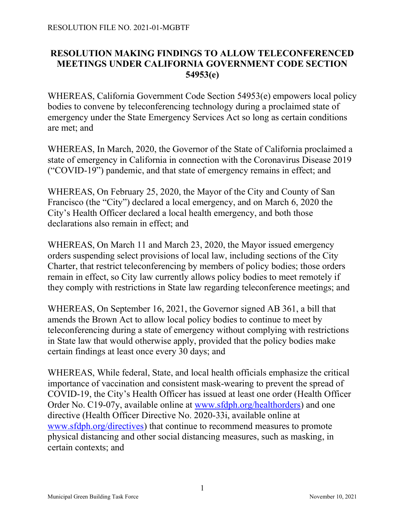## RESOLUTION MAKING FINDINGS TO ALLOW TELECONFERENCED MEETINGS UNDER CALIFORNIA GOVERNMENT CODE SECTION 54953(e)

WHEREAS, California Government Code Section 54953(e) empowers local policy bodies to convene by teleconferencing technology during a proclaimed state of emergency under the State Emergency Services Act so long as certain conditions are met; and

WHEREAS, In March, 2020, the Governor of the State of California proclaimed a state of emergency in California in connection with the Coronavirus Disease 2019 ("COVID-19") pandemic, and that state of emergency remains in effect; and

WHEREAS, On February 25, 2020, the Mayor of the City and County of San Francisco (the "City") declared a local emergency, and on March 6, 2020 the City's Health Officer declared a local health emergency, and both those declarations also remain in effect; and

WHEREAS, On March 11 and March 23, 2020, the Mayor issued emergency orders suspending select provisions of local law, including sections of the City Charter, that restrict teleconferencing by members of policy bodies; those orders remain in effect, so City law currently allows policy bodies to meet remotely if they comply with restrictions in State law regarding teleconference meetings; and

WHEREAS, On September 16, 2021, the Governor signed AB 361, a bill that amends the Brown Act to allow local policy bodies to continue to meet by teleconferencing during a state of emergency without complying with restrictions in State law that would otherwise apply, provided that the policy bodies make certain findings at least once every 30 days; and

WHEREAS, While federal, State, and local health officials emphasize the critical importance of vaccination and consistent mask-wearing to prevent the spread of COVID-19, the City's Health Officer has issued at least one order (Health Officer Order No. C19-07y, available online at www.sfdph.org/healthorders) and one directive (Health Officer Directive No. 2020-33i, available online at www.sfdph.org/directives) that continue to recommend measures to promote physical distancing and other social distancing measures, such as masking, in certain contexts; and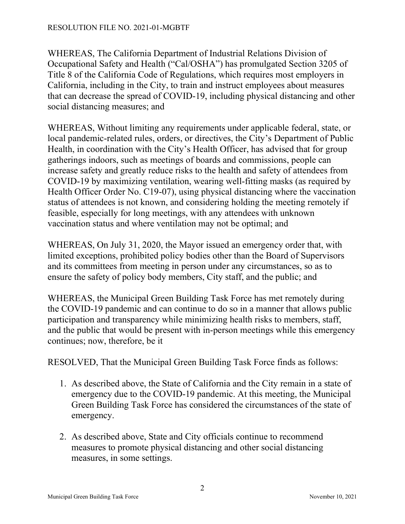WHEREAS, The California Department of Industrial Relations Division of Occupational Safety and Health ("Cal/OSHA") has promulgated Section 3205 of Title 8 of the California Code of Regulations, which requires most employers in California, including in the City, to train and instruct employees about measures that can decrease the spread of COVID-19, including physical distancing and other social distancing measures; and

WHEREAS, Without limiting any requirements under applicable federal, state, or local pandemic-related rules, orders, or directives, the City's Department of Public Health, in coordination with the City's Health Officer, has advised that for group gatherings indoors, such as meetings of boards and commissions, people can increase safety and greatly reduce risks to the health and safety of attendees from COVID-19 by maximizing ventilation, wearing well-fitting masks (as required by Health Officer Order No. C19-07), using physical distancing where the vaccination status of attendees is not known, and considering holding the meeting remotely if feasible, especially for long meetings, with any attendees with unknown vaccination status and where ventilation may not be optimal; and

WHEREAS, On July 31, 2020, the Mayor issued an emergency order that, with limited exceptions, prohibited policy bodies other than the Board of Supervisors and its committees from meeting in person under any circumstances, so as to ensure the safety of policy body members, City staff, and the public; and

WHEREAS, the Municipal Green Building Task Force has met remotely during the COVID-19 pandemic and can continue to do so in a manner that allows public participation and transparency while minimizing health risks to members, staff, and the public that would be present with in-person meetings while this emergency continues; now, therefore, be it

RESOLVED, That the Municipal Green Building Task Force finds as follows:

- 1. As described above, the State of California and the City remain in a state of emergency due to the COVID-19 pandemic. At this meeting, the Municipal Green Building Task Force has considered the circumstances of the state of emergency.
- 2. As described above, State and City officials continue to recommend measures to promote physical distancing and other social distancing measures, in some settings.